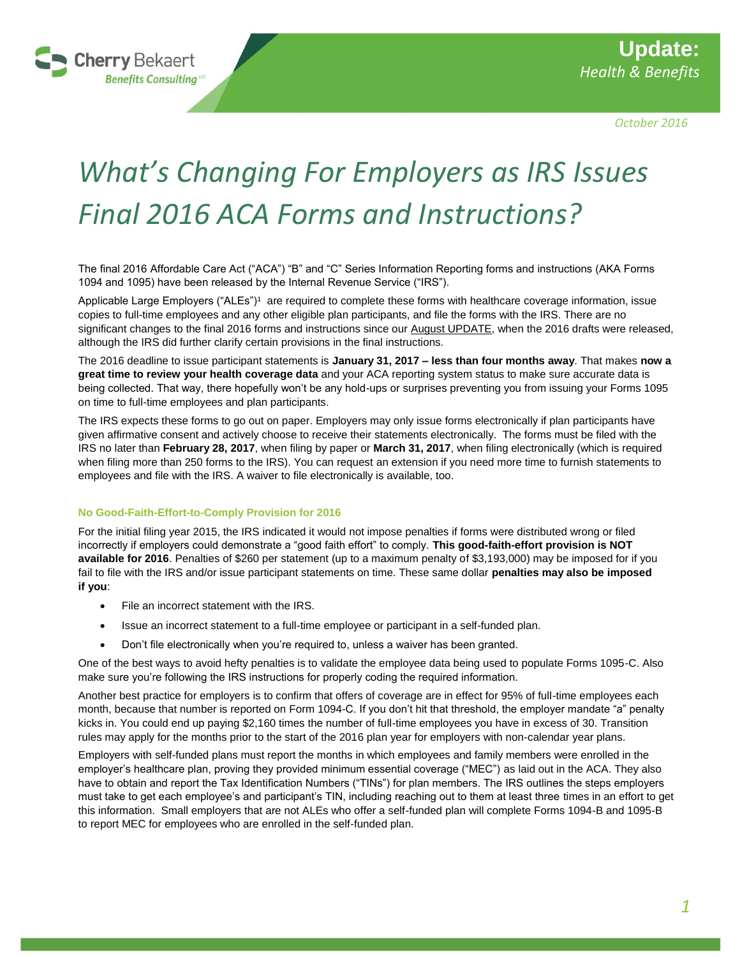

*October 2016*

# *What's Changing For Employers as IRS Issues Final 2016 ACA Forms and Instructions?*

The final 2016 Affordable Care Act ("ACA") "B" and "C" Series Information Reporting forms and instructions (AKA Forms 1094 and 1095) have been released by the Internal Revenue Service ("IRS").

Applicable Large Employers ("ALEs")<sup>1</sup> are required to complete these forms with healthcare coverage information, issue copies to full-time employees and any other eligible plan participants, and file the forms with the IRS. There are no significant changes to the final 2016 forms and instructions since our [August UPDATE,](https://www.cherrybekaertbenefits.com/wp-content/uploads/2016/08/CBBC_IRS-Offers-Glimpse-New-2016-ACA-Forms-Instructions_August-2016.pdf) when the 2016 drafts were released, although the IRS did further clarify certain provisions in the final instructions.

The 2016 deadline to issue participant statements is **January 31, 2017 – less than four months away**. That makes **now a great time to review your health coverage data** and your ACA reporting system status to make sure accurate data is being collected. That way, there hopefully won't be any hold-ups or surprises preventing you from issuing your Forms 1095 on time to full-time employees and plan participants.

The IRS expects these forms to go out on paper. Employers may only issue forms electronically if plan participants have given affirmative consent and actively choose to receive their statements electronically. The forms must be filed with the IRS no later than **February 28, 2017**, when filing by paper or **March 31, 2017**, when filing electronically (which is required when filing more than 250 forms to the IRS). You can request an extension if you need more time to furnish statements to employees and file with the IRS. A waiver to file electronically is available, too.

## **No Good-Faith-Effort-to-Comply Provision for 2016**

For the initial filing year 2015, the IRS indicated it would not impose penalties if forms were distributed wrong or filed incorrectly if employers could demonstrate a "good faith effort" to comply. **This good-faith-effort provision is NOT available for 2016**. Penalties of \$260 per statement (up to a maximum penalty of \$3,193,000) may be imposed for if you fail to file with the IRS and/or issue participant statements on time. These same dollar **penalties may also be imposed if you**:

- File an incorrect statement with the IRS.
- Issue an incorrect statement to a full-time employee or participant in a self-funded plan.
- Don't file electronically when you're required to, unless a waiver has been granted.

One of the best ways to avoid hefty penalties is to validate the employee data being used to populate Forms 1095-C. Also make sure you're following the IRS instructions for properly coding the required information.

Another best practice for employers is to confirm that offers of coverage are in effect for 95% of full-time employees each month, because that number is reported on Form 1094-C. If you don't hit that threshold, the employer mandate "a" penalty kicks in. You could end up paying \$2,160 times the number of full-time employees you have in excess of 30. Transition rules may apply for the months prior to the start of the 2016 plan year for employers with non-calendar year plans.

Employers with self-funded plans must report the months in which employees and family members were enrolled in the employer's healthcare plan, proving they provided minimum essential coverage ("MEC") as laid out in the ACA. They also have to obtain and report the Tax Identification Numbers ("TINs") for plan members. The IRS outlines the steps employers must take to get each employee's and participant's TIN, including reaching out to them at least three times in an effort to get this information. Small employers that are not ALEs who offer a self-funded plan will complete Forms 1094-B and 1095-B to report MEC for employees who are enrolled in the self-funded plan.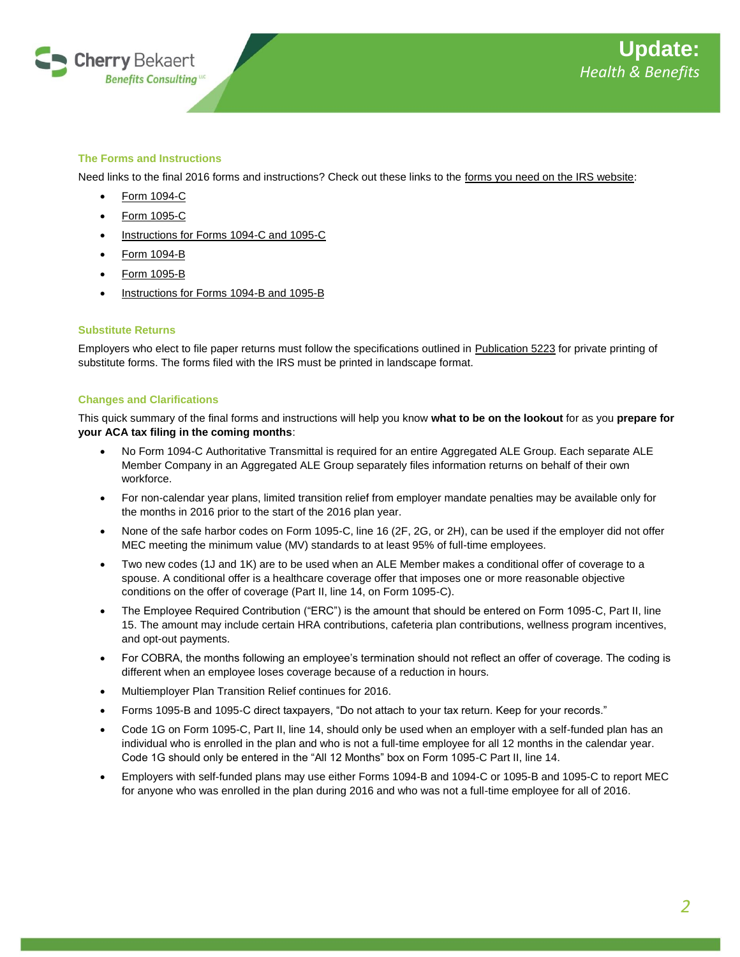

# **The Forms and Instructions**

Need links to the final 2016 forms and instructions? Check out these links to the [forms you need on the IRS website:](https://www.irs.gov/forms-pubs)

- [Form 1094-C](https://www.irs.gov/pub/irs-pdf/f1094c.pdf?_ga=1.233220062.1562648618.1440162414)
- [Form 1095-C](https://www.irs.gov/pub/irs-pdf/f1095c.pdf?_ga=1.240534211.1562648618.1440162414)
- [Instructions for Forms 1094-C and 1095-C](https://www.irs.gov/pub/irs-pdf/i109495c.pdf?_ga=1.239922755.1562648618.1440162414)
- [Form 1094-B](https://www.irs.gov/pub/irs-pdf/f1094b.pdf?_ga=1.1567345.1562648618.1440162414)
- [Form 1095-B](https://www.irs.gov/pub/irs-pdf/f1095b.pdf?_ga=1.240534211.1562648618.1440162414)
- [Instructions for Forms 1094-B and 1095-B](https://www.irs.gov/pub/irs-pdf/i109495b.pdf?_ga=1.1567345.1562648618.1440162414)

## **Substitute Returns**

Employers who elect to file paper returns must follow the specifications outlined in [Publication 5223](https://www.irs.gov/pub/irs-pdf/p5223.pdf) for private printing of substitute forms. The forms filed with the IRS must be printed in landscape format.

## **Changes and Clarifications**

This quick summary of the final forms and instructions will help you know **what to be on the lookout** for as you **prepare for your ACA tax filing in the coming months**:

- No Form 1094-C Authoritative Transmittal is required for an entire Aggregated ALE Group. Each separate ALE Member Company in an Aggregated ALE Group separately files information returns on behalf of their own workforce.
- For non-calendar year plans, limited transition relief from employer mandate penalties may be available only for the months in 2016 prior to the start of the 2016 plan year.
- None of the safe harbor codes on Form 1095-C, line 16 (2F, 2G, or 2H), can be used if the employer did not offer MEC meeting the minimum value (MV) standards to at least 95% of full-time employees.
- Two new codes (1J and 1K) are to be used when an ALE Member makes a conditional offer of coverage to a spouse. A conditional offer is a healthcare coverage offer that imposes one or more reasonable objective conditions on the offer of coverage (Part II, line 14, on Form 1095-C).
- The Employee Required Contribution ("ERC") is the amount that should be entered on Form 1095-C, Part II, line 15. The amount may include certain HRA contributions, cafeteria plan contributions, wellness program incentives, and opt-out payments.
- For COBRA, the months following an employee's termination should not reflect an offer of coverage. The coding is different when an employee loses coverage because of a reduction in hours.
- Multiemployer Plan Transition Relief continues for 2016.
- Forms 1095-B and 1095-C direct taxpayers, "Do not attach to your tax return. Keep for your records."
- Code 1G on Form 1095-C, Part II, line 14, should only be used when an employer with a self-funded plan has an individual who is enrolled in the plan and who is not a full-time employee for all 12 months in the calendar year. Code 1G should only be entered in the "All 12 Months" box on Form 1095-C Part II, line 14.
- Employers with self-funded plans may use either Forms 1094-B and 1094-C or 1095-B and 1095-C to report MEC for anyone who was enrolled in the plan during 2016 and who was not a full-time employee for all of 2016.